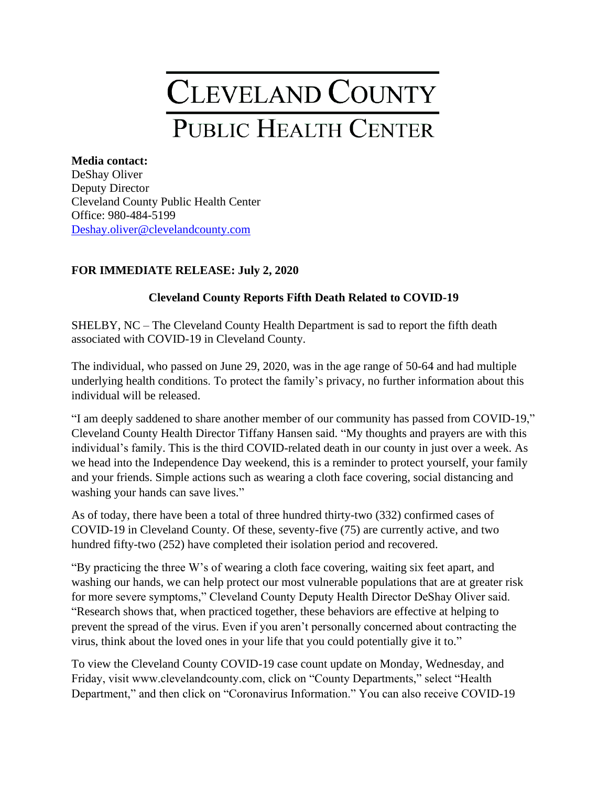## **CLEVELAND COUNTY** PUBLIC HEALTH CENTER

## **Media contact:** DeShay Oliver Deputy Director Cleveland County Public Health Center Office: 980-484-5199 [Deshay.oliver@clevelandcounty.com](mailto:Deshay.oliver@clevelandcounty.com)

## **FOR IMMEDIATE RELEASE: July 2, 2020**

## **Cleveland County Reports Fifth Death Related to COVID-19**

SHELBY, NC – The Cleveland County Health Department is sad to report the fifth death associated with COVID-19 in Cleveland County.

The individual, who passed on June 29, 2020, was in the age range of 50-64 and had multiple underlying health conditions. To protect the family's privacy, no further information about this individual will be released.

"I am deeply saddened to share another member of our community has passed from COVID-19," Cleveland County Health Director Tiffany Hansen said. "My thoughts and prayers are with this individual's family. This is the third COVID-related death in our county in just over a week. As we head into the Independence Day weekend, this is a reminder to protect yourself, your family and your friends. Simple actions such as wearing a cloth face covering, social distancing and washing your hands can save lives."

As of today, there have been a total of three hundred thirty-two (332) confirmed cases of COVID-19 in Cleveland County. Of these, seventy-five (75) are currently active, and two hundred fifty-two (252) have completed their isolation period and recovered.

"By practicing the three W's of wearing a cloth face covering, waiting six feet apart, and washing our hands, we can help protect our most vulnerable populations that are at greater risk for more severe symptoms," Cleveland County Deputy Health Director DeShay Oliver said. "Research shows that, when practiced together, these behaviors are effective at helping to prevent the spread of the virus. Even if you aren't personally concerned about contracting the virus, think about the loved ones in your life that you could potentially give it to."

To view the Cleveland County COVID-19 case count update on Monday, Wednesday, and Friday, visit www.clevelandcounty.com, click on "County Departments," select "Health Department," and then click on "Coronavirus Information." You can also receive COVID-19